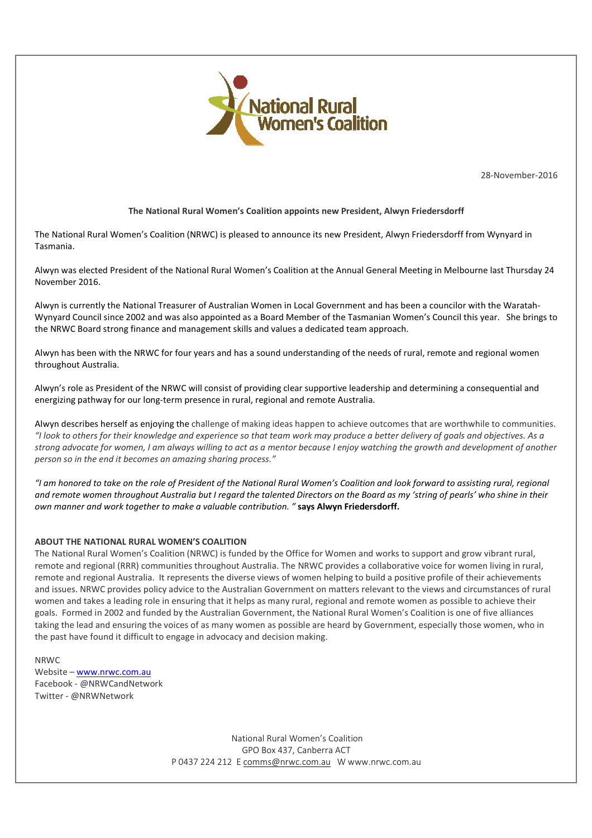

28-November-2016

## **The National Rural Women's Coalition appoints new President, Alwyn Friedersdorff**

The National Rural Women's Coalition (NRWC) is pleased to announce its new President, Alwyn Friedersdorff from Wynyard in Tasmania.

Alwyn was elected President of the National Rural Women's Coalition at the Annual General Meeting in Melbourne last Thursday 24 November 2016.

Alwyn is currently the National Treasurer of Australian Women in Local Government and has been a councilor with the Waratah-Wynyard Council since 2002 and was also appointed as a Board Member of the Tasmanian Women's Council this year. She brings to the NRWC Board strong finance and management skills and values a dedicated team approach.

Alwyn has been with the NRWC for four years and has a sound understanding of the needs of rural, remote and regional women throughout Australia.

Alwyn's role as President of the NRWC will consist of providing clear supportive leadership and determining a consequential and energizing pathway for our long-term presence in rural, regional and remote Australia.

Alwyn describes herself as enjoying the challenge of making ideas happen to achieve outcomes that are worthwhile to communities. *"I look to others for their knowledge and experience so that team work may produce a better delivery of goals and objectives. As a strong advocate for women, I am always willing to act as a mentor because I enjoy watching the growth and development of another person so in the end it becomes an amazing sharing process."*

*"I am honored to take on the role of President of the National Rural Women's Coalition and look forward to assisting rural, regional and remote women throughout Australia but I regard the talented Directors on the Board as my 'string of pearls' who shine in their own manner and work together to make a valuable contribution. "* **says Alwyn Friedersdorff.**

## **ABOUT THE NATIONAL RURAL WOMEN'S COALITION**

The National Rural Women's Coalition (NRWC) is funded by the Office for Women and works to support and grow vibrant rural, remote and regional (RRR) communities throughout Australia. The NRWC provides a collaborative voice for women living in rural, remote and regional Australia. It represents the diverse views of women helping to build a positive profile of their achievements and issues. NRWC provides policy advice to the Australian Government on matters relevant to the views and circumstances of rural women and takes a leading role in ensuring that it helps as many rural, regional and remote women as possible to achieve their goals. Formed in 2002 and funded by the Australian Government, the National Rural Women's Coalition is one of five alliances taking the lead and ensuring the voices of as many women as possible are heard by Government, especially those women, who in the past have found it difficult to engage in advocacy and decision making.

## NRWC

Website – www.nrwc.com.au Facebook - @NRWCandNetwork Twitter - @NRWNetwork

> National Rural Women's Coalition GPO Box 437, Canberra ACT P 0437 224 212 E comms@nrwc.com.au W www.nrwc.com.au